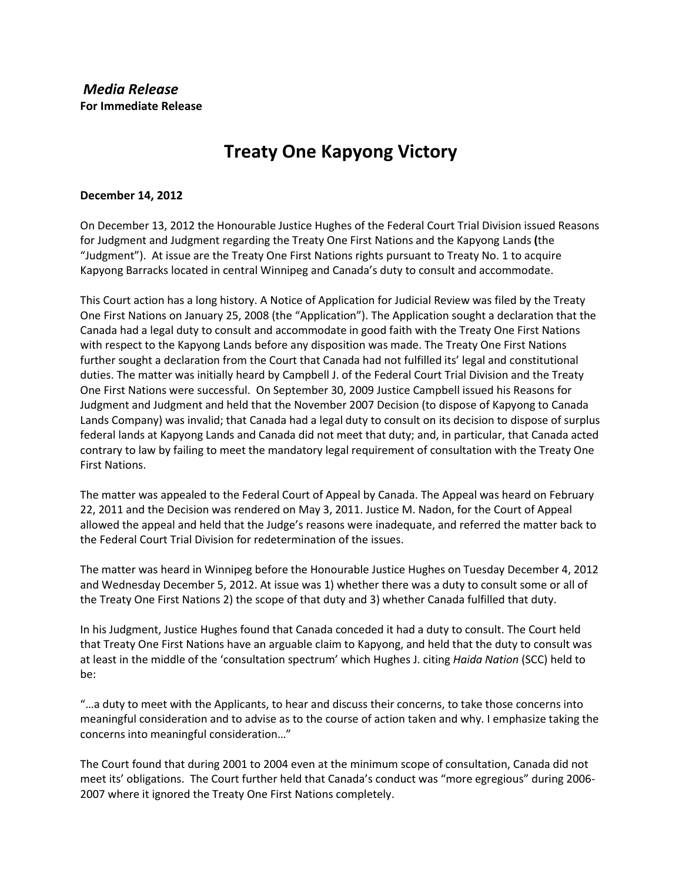## **Treaty One Kapyong Victory**

## **December 14, 2012**

On December 13, 2012 the Honourable Justice Hughes of the Federal Court Trial Division issued Reasons for Judgment and Judgment regarding the Treaty One First Nations and the Kapyong Lands **(**the "Judgment"). At issue are the Treaty One First Nations rights pursuant to Treaty No. 1 to acquire Kapyong Barracks located in central Winnipeg and Canada's duty to consult and accommodate.

This Court action has a long history. A Notice of Application for Judicial Review was filed by the Treaty One First Nations on January 25, 2008 (the "Application"). The Application sought a declaration that the Canada had a legal duty to consult and accommodate in good faith with the Treaty One First Nations with respect to the Kapyong Lands before any disposition was made. The Treaty One First Nations further sought a declaration from the Court that Canada had not fulfilled its' legal and constitutional duties. The matter was initially heard by Campbell J. of the Federal Court Trial Division and the Treaty One First Nations were successful. On September 30, 2009 Justice Campbell issued his Reasons for Judgment and Judgment and held that the November 2007 Decision (to dispose of Kapyong to Canada Lands Company) was invalid; that Canada had a legal duty to consult on its decision to dispose of surplus federal lands at Kapyong Lands and Canada did not meet that duty; and, in particular, that Canada acted contrary to law by failing to meet the mandatory legal requirement of consultation with the Treaty One First Nations.

The matter was appealed to the Federal Court of Appeal by Canada. The Appeal was heard on February 22, 2011 and the Decision was rendered on May 3, 2011. Justice M. Nadon, for the Court of Appeal allowed the appeal and held that the Judge's reasons were inadequate, and referred the matter back to the Federal Court Trial Division for redetermination of the issues.

The matter was heard in Winnipeg before the Honourable Justice Hughes on Tuesday December 4, 2012 and Wednesday December 5, 2012. At issue was 1) whether there was a duty to consult some or all of the Treaty One First Nations 2) the scope of that duty and 3) whether Canada fulfilled that duty.

In his Judgment, Justice Hughes found that Canada conceded it had a duty to consult. The Court held that Treaty One First Nations have an arguable claim to Kapyong, and held that the duty to consult was at least in the middle of the 'consultation spectrum' which Hughes J. citing *Haida Nation* (SCC) held to be:

"…a duty to meet with the Applicants, to hear and discuss their concerns, to take those concerns into meaningful consideration and to advise as to the course of action taken and why. I emphasize taking the concerns into meaningful consideration…"

The Court found that during 2001 to 2004 even at the minimum scope of consultation, Canada did not meet its' obligations. The Court further held that Canada's conduct was "more egregious" during 2006- 2007 where it ignored the Treaty One First Nations completely.